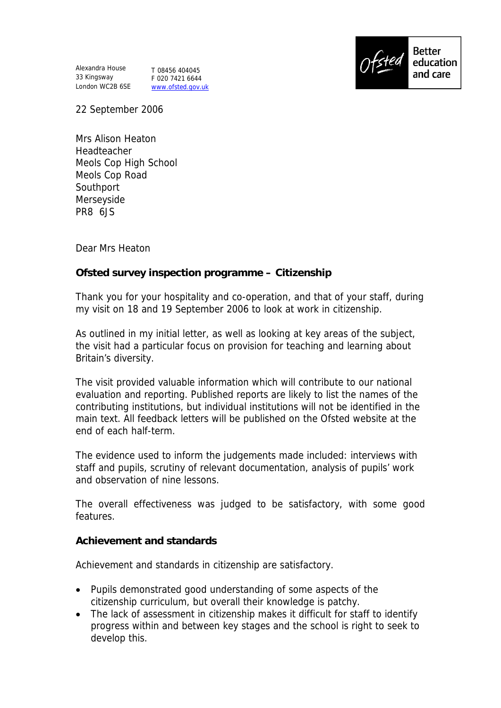Alexandra House 33 Kingsway London WC2B 6SE

T 08456 404045 F 020 7421 6644 www.ofsted.gov.uk



22 September 2006

Mrs Alison Heaton Headteacher Meols Cop High School Meols Cop Road Southport Merseyside PR8 6JS

Dear Mrs Heaton

**Ofsted survey inspection programme – Citizenship**

Thank you for your hospitality and co-operation, and that of your staff, during my visit on 18 and 19 September 2006 to look at work in citizenship.

As outlined in my initial letter, as well as looking at key areas of the subject, the visit had a particular focus on provision for teaching and learning about Britain's diversity.

The visit provided valuable information which will contribute to our national evaluation and reporting. Published reports are likely to list the names of the contributing institutions, but individual institutions will not be identified in the main text. All feedback letters will be published on the Ofsted website at the end of each half-term.

The evidence used to inform the judgements made included: interviews with staff and pupils, scrutiny of relevant documentation, analysis of pupils' work and observation of nine lessons.

The overall effectiveness was judged to be satisfactory, with some good features.

**Achievement and standards**

Achievement and standards in citizenship are satisfactory.

- Pupils demonstrated good understanding of some aspects of the citizenship curriculum, but overall their knowledge is patchy.
- The lack of assessment in citizenship makes it difficult for staff to identify progress within and between key stages and the school is right to seek to develop this.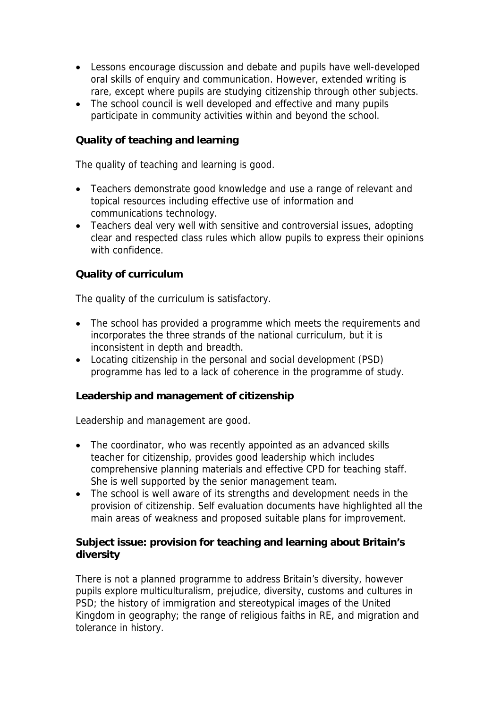- Lessons encourage discussion and debate and pupils have well-developed oral skills of enquiry and communication. However, extended writing is rare, except where pupils are studying citizenship through other subjects.
- The school council is well developed and effective and many pupils participate in community activities within and beyond the school.

**Quality of teaching and learning** 

The quality of teaching and learning is good.

- Teachers demonstrate good knowledge and use a range of relevant and topical resources including effective use of information and communications technology.
- Teachers deal very well with sensitive and controversial issues, adopting clear and respected class rules which allow pupils to express their opinions with confidence.

## **Quality of curriculum**

The quality of the curriculum is satisfactory.

- The school has provided a programme which meets the requirements and incorporates the three strands of the national curriculum, but it is inconsistent in depth and breadth.
- Locating citizenship in the personal and social development (PSD) programme has led to a lack of coherence in the programme of study.

**Leadership and management of citizenship**

Leadership and management are good.

- The coordinator, who was recently appointed as an advanced skills teacher for citizenship, provides good leadership which includes comprehensive planning materials and effective CPD for teaching staff. She is well supported by the senior management team.
- The school is well aware of its strengths and development needs in the provision of citizenship. Self evaluation documents have highlighted all the main areas of weakness and proposed suitable plans for improvement.

**Subject issue: provision for teaching and learning about Britain's diversity**

There is not a planned programme to address Britain's diversity, however pupils explore multiculturalism, prejudice, diversity, customs and cultures in PSD; the history of immigration and stereotypical images of the United Kingdom in geography; the range of religious faiths in RE, and migration and tolerance in history.